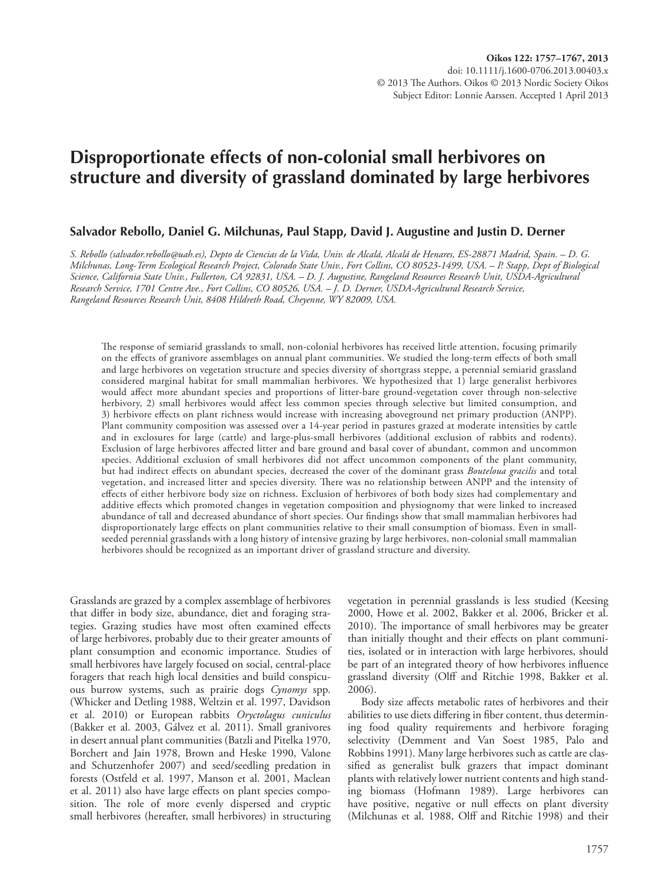# **Disproportionate effects of non-colonial small herbivores on structure and diversity of grassland dominated by large herbivores**

### Salvador Rebollo, Daniel G. Milchunas, Paul Stapp, David J. Augustine and Justin D. Derner

S. Rebollo (salvador.rebollo@uah.es), Depto de Ciencias de la Vida, Univ. de Alcalá, Alcalá de Henares, ES-28871 Madrid, Spain. – D. G. *Milchunas, Long-Term Ecological Research Project, Colorado State Univ., Fort Collins, CO 80523-1499, USA. – P. Stapp, Dept of Biological Science, California State Univ., Fullerton, CA 92831, USA. – D. J. Augustine, Rangeland Resources Research Unit, USDA-Agricultural Research Service, 1701 Centre Ave., Fort Collins, CO 80526, USA. – J. D. Derner, USDA-Agricultural Research Service, Rangeland Resources Research Unit, 8408 Hildreth Road, Cheyenne, WY 82009, USA.* 

The response of semiarid grasslands to small, non-colonial herbivores has received little attention, focusing primarily on the effects of granivore assemblages on annual plant communities. We studied the long-term effects of both small and large herbivores on vegetation structure and species diversity of shortgrass steppe, a perennial semiarid grassland considered marginal habitat for small mammalian herbivores. We hypothesized that 1) large generalist herbivores would affect more abundant species and proportions of litter-bare ground-vegetation cover through non-selective herbivory, 2) small herbivores would affect less common species through selective but limited consumption, and 3) herbivore effects on plant richness would increase with increasing aboveground net primary production (ANPP). Plant community composition was assessed over a 14-year period in pastures grazed at moderate intensities by cattle and in exclosures for large (cattle) and large-plus-small herbivores (additional exclusion of rabbits and rodents). Exclusion of large herbivores affected litter and bare ground and basal cover of abundant, common and uncommon species. Additional exclusion of small herbivores did not affect uncommon components of the plant community, but had indirect effects on abundant species, decreased the cover of the dominant grass *Bouteloua gracilis* and total vegetation, and increased litter and species diversity. There was no relationship between ANPP and the intensity of effects of either herbivore body size on richness. Exclusion of herbivores of both body sizes had complementary and additive effects which promoted changes in vegetation composition and physiognomy that were linked to increased abundance of tall and decreased abundance of short species. Our findings show that small mammalian herbivores had disproportionately large effects on plant communities relative to their small consumption of biomass. Even in smallseeded perennial grasslands with a long history of intensive grazing by large herbivores, non-colonial small mammalian herbivores should be recognized as an important driver of grassland structure and diversity.

 Grasslands are grazed by a complex assemblage of herbivores that differ in body size, abundance, diet and foraging strategies. Grazing studies have most often examined effects of large herbivores, probably due to their greater amounts of plant consumption and economic importance. Studies of small herbivores have largely focused on social, central-place foragers that reach high local densities and build conspicuous burrow systems, such as prairie dogs *Cynomys* spp. (Whicker and Detling 1988, Weltzin et al. 1997, Davidson et al. 2010) or European rabbits *Oryctolagus cuniculus* (Bakker et al. 2003, Gálvez et al. 2011). Small granivores in desert annual plant communities (Batzli and Pitelka 1970, Borchert and Jain 1978, Brown and Heske 1990, Valone and Schutzenhofer 2007) and seed/seedling predation in forests (Ostfeld et al. 1997, Manson et al. 2001, Maclean et al. 2011) also have large effects on plant species composition. The role of more evenly dispersed and cryptic small herbivores (hereafter, small herbivores) in structuring

vegetation in perennial grasslands is less studied (Keesing 2000, Howe et al. 2002, Bakker et al. 2006, Bricker et al. 2010). The importance of small herbivores may be greater than initially thought and their effects on plant communities, isolated or in interaction with large herbivores, should be part of an integrated theory of how herbivores influence grassland diversity (Olff and Ritchie 1998, Bakker et al. 2006).

Body size affects metabolic rates of herbivores and their abilities to use diets differing in fiber content, thus determining food quality requirements and herbivore foraging selectivity (Demment and Van Soest 1985, Palo and Robbins 1991). Many large herbivores such as cattle are classified as generalist bulk grazers that impact dominant plants with relatively lower nutrient contents and high standing biomass (Hofmann 1989). Large herbivores can have positive, negative or null effects on plant diversity (Milchunas et al. 1988, Olff and Ritchie 1998) and their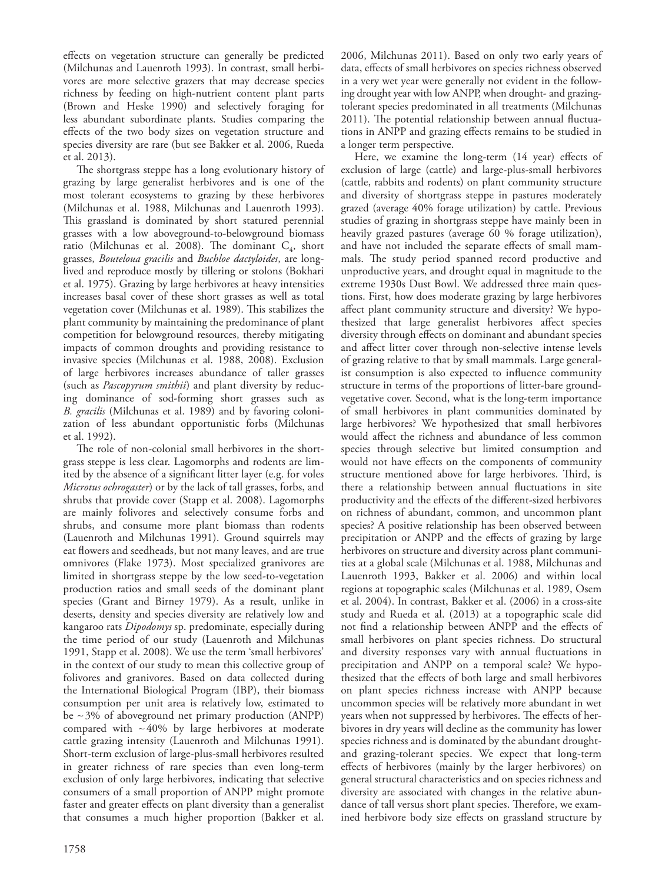effects on vegetation structure can generally be predicted (Milchunas and Lauenroth 1993). In contrast, small herbivores are more selective grazers that may decrease species richness by feeding on high-nutrient content plant parts (Brown and Heske 1990) and selectively foraging for less abundant subordinate plants. Studies comparing the effects of the two body sizes on vegetation structure and species diversity are rare (but see Bakker et al. 2006, Rueda et al. 2013).

The shortgrass steppe has a long evolutionary history of grazing by large generalist herbivores and is one of the most tolerant ecosystems to grazing by these herbivores (Milchunas et al. 1988, Milchunas and Lauenroth 1993). This grassland is dominated by short statured perennial grasses with a low aboveground-to-belowground biomass ratio (Milchunas et al. 2008). The dominant  $C_4$ , short grasses, *Bouteloua gracilis* and *Buchloe dactyloides* , are longlived and reproduce mostly by tillering or stolons (Bokhari et al. 1975). Grazing by large herbivores at heavy intensities increases basal cover of these short grasses as well as total vegetation cover (Milchunas et al. 1989). This stabilizes the plant community by maintaining the predominance of plant competition for belowground resources, thereby mitigating impacts of common droughts and providing resistance to invasive species (Milchunas et al. 1988, 2008). Exclusion of large herbivores increases abundance of taller grasses (such as *Pascopyrum smithii*) and plant diversity by reducing dominance of sod-forming short grasses such as *B. gracilis* (Milchunas et al. 1989) and by favoring colonization of less abundant opportunistic forbs (Milchunas et al. 1992).

The role of non-colonial small herbivores in the shortgrass steppe is less clear. Lagomorphs and rodents are limited by the absence of a significant litter layer (e.g. for voles *Microtus ochrogaster*) or by the lack of tall grasses, forbs, and shrubs that provide cover (Stapp et al. 2008). Lagomorphs are mainly folivores and selectively consume forbs and shrubs, and consume more plant biomass than rodents (Lauenroth and Milchunas 1991). Ground squirrels may eat flowers and seedheads, but not many leaves, and are true omnivores (Flake 1973). Most specialized granivores are limited in shortgrass steppe by the low seed-to-vegetation production ratios and small seeds of the dominant plant species (Grant and Birney 1979). As a result, unlike in deserts, density and species diversity are relatively low and kangaroo rats *Dipodomys* sp. predominate, especially during the time period of our study (Lauenroth and Milchunas 1991, Stapp et al. 2008). We use the term 'small herbivores' in the context of our study to mean this collective group of folivores and granivores. Based on data collected during the International Biological Program (IBP), their biomass consumption per unit area is relatively low, estimated to be ∼ 3% of aboveground net primary production (ANPP) compared with ∼ 40% by large herbivores at moderate cattle grazing intensity (Lauenroth and Milchunas 1991). Short-term exclusion of large-plus-small herbivores resulted in greater richness of rare species than even long-term exclusion of only large herbivores, indicating that selective consumers of a small proportion of ANPP might promote faster and greater effects on plant diversity than a generalist that consumes a much higher proportion (Bakker et al.

2006, Milchunas 2011). Based on only two early years of data, effects of small herbivores on species richness observed in a very wet year were generally not evident in the following drought year with low ANPP, when drought- and grazingtolerant species predominated in all treatments (Milchunas 2011). The potential relationship between annual fluctuations in ANPP and grazing effects remains to be studied in a longer term perspective.

Here, we examine the long-term (14 year) effects of exclusion of large (cattle) and large-plus-small herbivores (cattle, rabbits and rodents) on plant community structure and diversity of shortgrass steppe in pastures moderately grazed (average 40% forage utilization) by cattle. Previous studies of grazing in shortgrass steppe have mainly been in heavily grazed pastures (average 60 % forage utilization), and have not included the separate effects of small mammals. The study period spanned record productive and unproductive years, and drought equal in magnitude to the extreme 1930s Dust Bowl. We addressed three main questions. First, how does moderate grazing by large herbivores affect plant community structure and diversity? We hypothesized that large generalist herbivores affect species diversity through effects on dominant and abundant species and affect litter cover through non-selective intense levels of grazing relative to that by small mammals. Large generalist consumption is also expected to influence community structure in terms of the proportions of litter-bare groundvegetative cover. Second, what is the long-term importance of small herbivores in plant communities dominated by large herbivores? We hypothesized that small herbivores would affect the richness and abundance of less common species through selective but limited consumption and would not have effects on the components of community structure mentioned above for large herbivores. Third, is there a relationship between annual fluctuations in site productivity and the effects of the different-sized herbivores on richness of abundant, common, and uncommon plant species? A positive relationship has been observed between precipitation or ANPP and the effects of grazing by large herbivores on structure and diversity across plant communities at a global scale (Milchunas et al. 1988, Milchunas and Lauenroth 1993, Bakker et al. 2006) and within local regions at topographic scales (Milchunas et al. 1989, Osem et al. 2004). In contrast, Bakker et al. (2006) in a cross-site study and Rueda et al. (2013) at a topographic scale did not find a relationship between ANPP and the effects of small herbivores on plant species richness. Do structural and diversity responses vary with annual fluctuations in precipitation and ANPP on a temporal scale? We hypothesized that the effects of both large and small herbivores on plant species richness increase with ANPP because uncommon species will be relatively more abundant in wet years when not suppressed by herbivores. The effects of herbivores in dry years will decline as the community has lower species richness and is dominated by the abundant droughtand grazing-tolerant species. We expect that long-term effects of herbivores (mainly by the larger herbivores) on general structural characteristics and on species richness and diversity are associated with changes in the relative abundance of tall versus short plant species. Therefore, we examined herbivore body size effects on grassland structure by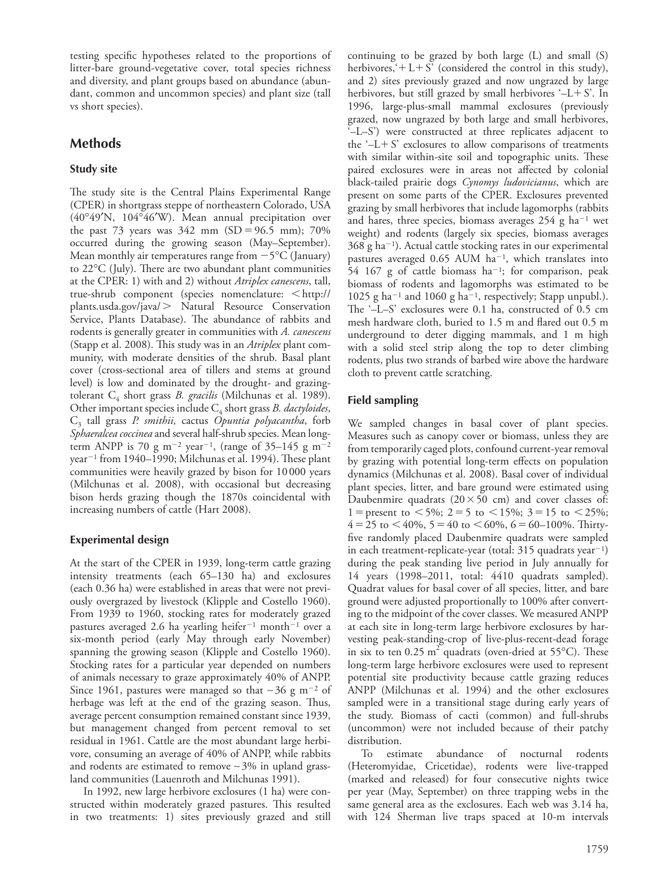testing specific hypotheses related to the proportions of litter-bare ground-vegetative cover, total species richness and diversity, and plant groups based on abundance (abundant, common and uncommon species) and plant size (tall vs short species).

## **Methods**

### **Study site**

The study site is the Central Plains Experimental Range (CPER) in shortgrass steppe of northeastern Colorado, USA  $(40°49'N, 104°46'W)$ . Mean annual precipitation over the past 73 years was  $342 \text{ mm (SD} = 96.5 \text{ mm})$ ; 70% occurred during the growing season (May–September). Mean monthly air temperatures range from  $-5^{\circ}$ C (January) to  $22^{\circ}$ C (July). There are two abundant plant communities at the CPER: 1) with and 2) without *Atriplex canescens* , tall, true-shrub component (species nomenclature:  $\lt$ http:// plants.usda.gov/java/> Natural Resource Conservation Service, Plants Database). The abundance of rabbits and rodents is generally greater in communities with *A. canescens* (Stapp et al. 2008). This study was in an *Atriplex* plant community, with moderate densities of the shrub. Basal plant cover (cross-sectional area of tillers and stems at ground level) is low and dominated by the drought- and grazingtolerant C<sub>4</sub> short grass *B. gracilis* (Milchunas et al. 1989). Other important species include C<sub>4</sub> short grass *B. dactyloides*,  $C_3$  tall grass *P. smithii*, cactus *Opuntia polyacantha*, forb *Sphaeralcea coccinea* and several half-shrub species. Mean longterm ANPP is 70 g m<sup>-2</sup> year<sup>-1</sup>, (range of 35-145 g m<sup>-2</sup> year<sup>-1</sup> from 1940-1990; Milchunas et al. 1994). These plant communities were heavily grazed by bison for 10 000 years (Milchunas et al. 2008), with occasional but decreasing bison herds grazing though the 1870s coincidental with increasing numbers of cattle (Hart 2008).

### **Experimental design**

 At the start of the CPER in 1939, long-term cattle grazing intensity treatments (each 65–130 ha) and exclosures (each 0.36 ha) were established in areas that were not previously overgrazed by livestock (Klipple and Costello 1960). From 1939 to 1960, stocking rates for moderately grazed pastures averaged 2.6 ha yearling heifer<sup> $-1$ </sup> month<sup> $-1$ </sup> over a six-month period (early May through early November) spanning the growing season (Klipple and Costello 1960). Stocking rates for a particular year depended on numbers of animals necessary to graze approximately 40% of ANPP. Since 1961, pastures were managed so that ∼36 g m<sup>-2</sup> of herbage was left at the end of the grazing season. Thus, average percent consumption remained constant since 1939, but management changed from percent removal to set residual in 1961. Cattle are the most abundant large herbivore, consuming an average of 40% of ANPP, while rabbits and rodents are estimated to remove ∼ 3% in upland grassland communities (Lauenroth and Milchunas 1991).

 In 1992, new large herbivore exclosures (1 ha) were constructed within moderately grazed pastures. This resulted in two treatments: 1) sites previously grazed and still continuing to be grazed by both large (L) and small (S) herbivores,  $+L+S'$  (considered the control in this study), and 2) sites previously grazed and now ungrazed by large herbivores, but still grazed by small herbivores  $-L+S$ . In 1996, large-plus-small mammal exclosures (previously grazed, now ungrazed by both large and small herbivores,  $-L-S'$  were constructed at three replicates adjacent to the  $-L+S'$  exclosures to allow comparisons of treatments with similar within-site soil and topographic units. These paired exclosures were in areas not affected by colonial black-tailed prairie dogs *Cynomys ludovicianus*, which are present on some parts of the CPER. Exclosures prevented grazing by small herbivores that include lagomorphs (rabbits and hares, three species, biomass averages  $254$  g ha<sup>-1</sup> wet weight) and rodents (largely six species, biomass averages  $368$  g ha<sup>-1</sup>). Actual cattle stocking rates in our experimental pastures averaged  $0.65$  AUM ha<sup>-1</sup>, which translates into 54 167 g of cattle biomass ha<sup>-1</sup>; for comparison, peak biomass of rodents and lagomorphs was estimated to be 1025 g ha<sup> $-1$ </sup> and 1060 g ha<sup> $-1$ </sup>, respectively; Stapp unpubl.). The  $-L-S'$  exclosures were 0.1 ha, constructed of 0.5 cm mesh hardware cloth, buried to 1.5 m and flared out 0.5 m underground to deter digging mammals, and 1 m high with a solid steel strip along the top to deter climbing rodents, plus two strands of barbed wire above the hardware cloth to prevent cattle scratching.

### **Field sampling**

 We sampled changes in basal cover of plant species. Measures such as canopy cover or biomass, unless they are from temporarily caged plots, confound current-year removal by grazing with potential long-term effects on population dynamics (Milchunas et al. 2008). Basal cover of individual plant species, litter, and bare ground were estimated using Daubenmire quadrats  $(20 \times 50 \text{ cm})$  and cover classes of: 1 = present to  $\lt$  5%; 2 = 5 to  $\lt$  15%; 3 = 15 to  $\lt$  25%;  $4 = 25$  to  $<$  40%, 5 = 40 to  $<$  60%, 6 = 60–100%. Thirtyfive randomly placed Daubenmire quadrats were sampled in each treatment-replicate-year (total:  $315$  quadrats year<sup>-1</sup>) during the peak standing live period in July annually for 14 years (1998-2011, total: 4410 quadrats sampled). Quadrat values for basal cover of all species, litter, and bare ground were adjusted proportionally to 100% after converting to the midpoint of the cover classes. We measured ANPP at each site in long-term large herbivore exclosures by harvesting peak-standing-crop of live-plus-recent-dead forage in six to ten  $0.25 \text{ m}^2$  quadrats (oven-dried at  $55^{\circ}$ C). These long-term large herbivore exclosures were used to represent potential site productivity because cattle grazing reduces ANPP (Milchunas et al. 1994) and the other exclosures sampled were in a transitional stage during early years of the study. Biomass of cacti (common) and full-shrubs (uncommon) were not included because of their patchy distribution.

 To estimate abundance of nocturnal rodents (Heteromyidae, Cricetidae), rodents were live-trapped (marked and released) for four consecutive nights twice per year (May, September) on three trapping webs in the same general area as the exclosures. Each web was 3.14 ha, with 124 Sherman live traps spaced at 10-m intervals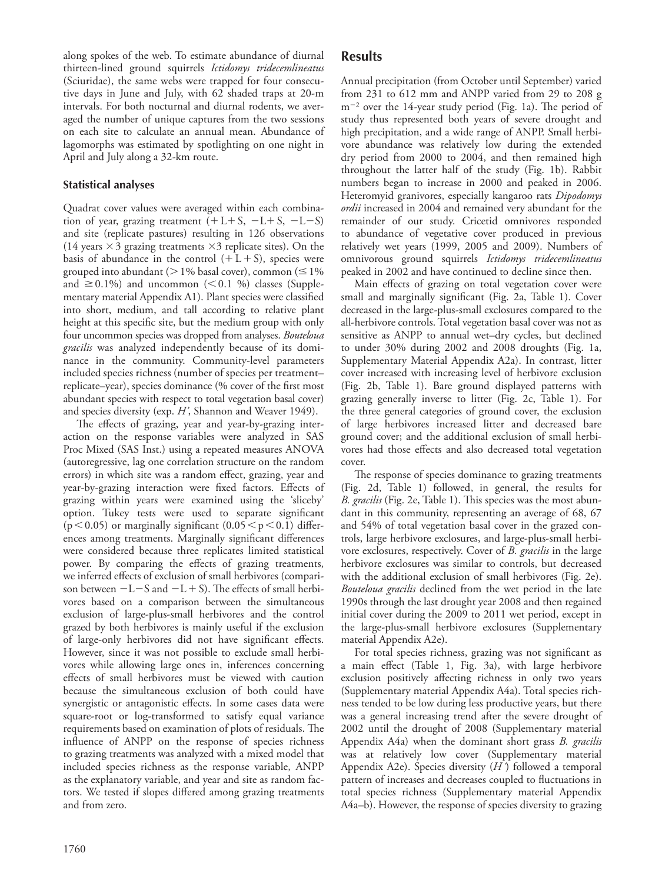along spokes of the web. To estimate abundance of diurnal thirteen-lined ground squirrels *Ictidomys tridecemlineatus* (Sciuridae), the same webs were trapped for four consecutive days in June and July, with 62 shaded traps at 20-m intervals. For both nocturnal and diurnal rodents, we averaged the number of unique captures from the two sessions on each site to calculate an annual mean. Abundance of lagomorphs was estimated by spotlighting on one night in April and July along a 32-km route.

### **Statistical analyses**

 Quadrat cover values were averaged within each combination of year, grazing treatment  $(+L+S, -L+S, -L-S)$ and site (replicate pastures) resulting in 126 observations (14 years  $\times$  3 grazing treatments  $\times$  3 replicate sites). On the basis of abundance in the control  $(+ L + S)$ , species were grouped into abundant ( $> 1\%$  basal cover), common ( $\leq 1\%$ and  $\geq 0.1\%$ ) and uncommon (  $\leq 0.1\%$ ) classes (Supplementary material Appendix A1). Plant species were classified into short, medium, and tall according to relative plant height at this specific site, but the medium group with only four uncommon species was dropped from analyses. *Bouteloua gracilis* was analyzed independently because of its dominance in the community. Community-level parameters included species richness (number of species per treatment – replicate-year), species dominance (% cover of the first most abundant species with respect to total vegetation basal cover) and species diversity (exp. *H*', Shannon and Weaver 1949).

The effects of grazing, year and year-by-grazing interaction on the response variables were analyzed in SAS Proc Mixed (SAS Inst.) using a repeated measures ANOVA (autoregressive, lag one correlation structure on the random errors) in which site was a random effect, grazing, year and year-by-grazing interaction were fixed factors. Effects of grazing within years were examined using the 'sliceby' option. Tukey tests were used to separate significant ( $p$  < 0.05) or marginally significant (0.05 <  $p$  < 0.1) differences among treatments. Marginally significant differences were considered because three replicates limited statistical power. By comparing the effects of grazing treatments, we inferred effects of exclusion of small herbivores (comparison between  $-L-S$  and  $-L+S$ ). The effects of small herbivores based on a comparison between the simultaneous exclusion of large-plus-small herbivores and the control grazed by both herbivores is mainly useful if the exclusion of large-only herbivores did not have significant effects. However, since it was not possible to exclude small herbivores while allowing large ones in, inferences concerning effects of small herbivores must be viewed with caution because the simultaneous exclusion of both could have synergistic or antagonistic effects. In some cases data were square-root or log-transformed to satisfy equal variance requirements based on examination of plots of residuals. The influence of ANPP on the response of species richness to grazing treatments was analyzed with a mixed model that included species richness as the response variable, ANPP as the explanatory variable, and year and site as random factors. We tested if slopes differed among grazing treatments and from zero.

# **Results**

 Annual precipitation (from October until September) varied from 231 to 612 mm and ANPP varied from 29 to 208 g  $m^{-2}$  over the 14-year study period (Fig. 1a). The period of study thus represented both years of severe drought and high precipitation, and a wide range of ANPP. Small herbivore abundance was relatively low during the extended dry period from 2000 to 2004, and then remained high throughout the latter half of the study (Fig. 1b). Rabbit numbers began to increase in 2000 and peaked in 2006. Heteromyid granivores, especially kangaroo rats *Dipodomys ordii* increased in 2004 and remained very abundant for the remainder of our study. Cricetid omnivores responded to abundance of vegetative cover produced in previous relatively wet years (1999, 2005 and 2009). Numbers of omnivorous ground squirrels *Ictidomys tridecemlineatus* peaked in 2002 and have continued to decline since then.

Main effects of grazing on total vegetation cover were small and marginally significant (Fig. 2a, Table 1). Cover decreased in the large-plus-small exclosures compared to the all-herbivore controls. Total vegetation basal cover was not as sensitive as ANPP to annual wet-dry cycles, but declined to under 30% during 2002 and 2008 droughts (Fig. 1a, Supplementary Material Appendix A2a). In contrast, litter cover increased with increasing level of herbivore exclusion (Fig. 2b, Table 1). Bare ground displayed patterns with grazing generally inverse to litter (Fig. 2c, Table 1). For the three general categories of ground cover, the exclusion of large herbivores increased litter and decreased bare ground cover; and the additional exclusion of small herbivores had those effects and also decreased total vegetation cover.

The response of species dominance to grazing treatments (Fig. 2d, Table 1) followed, in general, the results for *B. gracilis* (Fig. 2e, Table 1). This species was the most abundant in this community, representing an average of 68, 67 and 54% of total vegetation basal cover in the grazed controls, large herbivore exclosures, and large-plus-small herbivore exclosures, respectively. Cover of *B. gracilis* in the large herbivore exclosures was similar to controls, but decreased with the additional exclusion of small herbivores (Fig. 2e). *Bouteloua gracilis* declined from the wet period in the late 1990s through the last drought year 2008 and then regained initial cover during the 2009 to 2011 wet period, except in the large-plus-small herbivore exclosures (Supplementary material Appendix A2e).

For total species richness, grazing was not significant as a main effect (Table 1, Fig. 3a), with large herbivore exclusion positively affecting richness in only two years (Supplementary material Appendix A4a). Total species richness tended to be low during less productive years, but there was a general increasing trend after the severe drought of 2002 until the drought of 2008 (Supplementary material Appendix A4a) when the dominant short grass *B. gracilis* was at relatively low cover (Supplementary material Appendix A2e). Species diversity  $(H)$  followed a temporal pattern of increases and decreases coupled to fluctuations in total species richness (Supplementary material Appendix A4a–b). However, the response of species diversity to grazing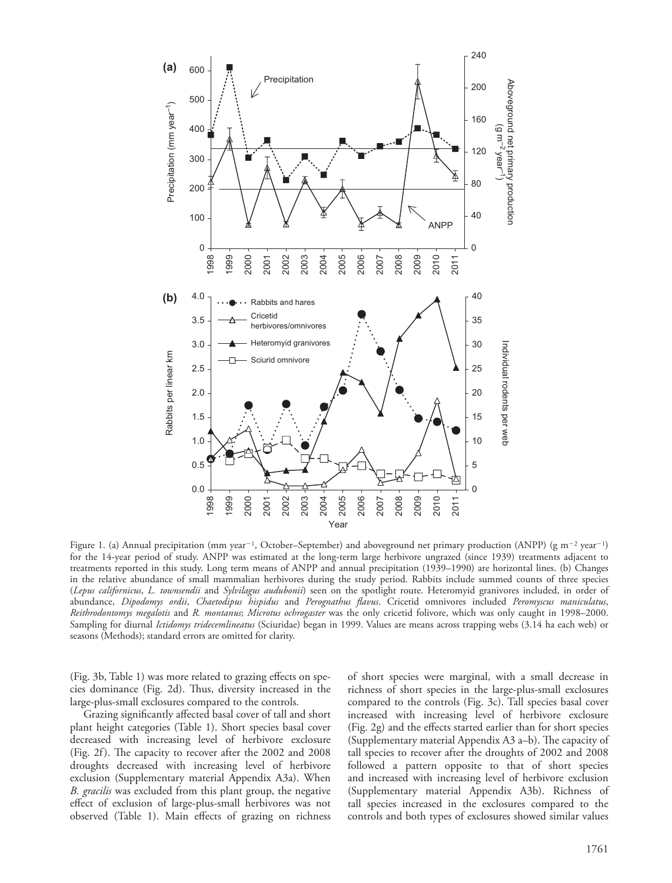

Figure 1. (a) Annual precipitation (mm year<sup>-1</sup>, October–September) and aboveground net primary production (ANPP) (g m<sup>-2</sup> year<sup>-1</sup>) for the 14-year period of study. ANPP was estimated at the long-term large herbivore ungrazed (since 1939) treatments adjacent to treatments reported in this study. Long term means of ANPP and annual precipitation (1939–1990) are horizontal lines. (b) Changes in the relative abundance of small mammalian herbivores during the study period. Rabbits include summed counts of three species ( *Lepus californicus* , *L. townsendii* and *Sylvilagus audubonii* ) seen on the spotlight route. Heteromyid granivores included, in order of abundance, *Dipodomys ordii* , *Chaetodipus hispidus* and *Perognathus fl avus* . Cricetid omnivores included *Peromyscus maniculatus* , *Reithrodontomys megalotis* and *R. montanus; Microtus ochrogaster* was the only cricetid folivore, which was only caught in 1998–2000. Sampling for diurnal *Ictidomys tridecemlineatus* (Sciuridae) began in 1999. Values are means across trapping webs (3.14 ha each web) or seasons (Methods); standard errors are omitted for clarity.

(Fig. 3b, Table 1) was more related to grazing effects on species dominance (Fig. 2d). Thus, diversity increased in the large-plus-small exclosures compared to the controls.

Grazing significantly affected basal cover of tall and short plant height categories (Table 1). Short species basal cover decreased with increasing level of herbivore exclosure (Fig. 2f). The capacity to recover after the  $2002$  and  $2008$ droughts decreased with increasing level of herbivore exclusion (Supplementary material Appendix A3a). When *B. gracilis* was excluded from this plant group, the negative effect of exclusion of large-plus-small herbivores was not observed (Table 1). Main effects of grazing on richness of short species were marginal, with a small decrease in richness of short species in the large-plus-small exclosures compared to the controls (Fig. 3c). Tall species basal cover increased with increasing level of herbivore exclosure (Fig. 2g) and the effects started earlier than for short species (Supplementary material Appendix A3 a-b). The capacity of tall species to recover after the droughts of 2002 and 2008 followed a pattern opposite to that of short species and increased with increasing level of herbivore exclusion (Supplementary material Appendix A3b). Richness of tall species increased in the exclosures compared to the controls and both types of exclosures showed similar values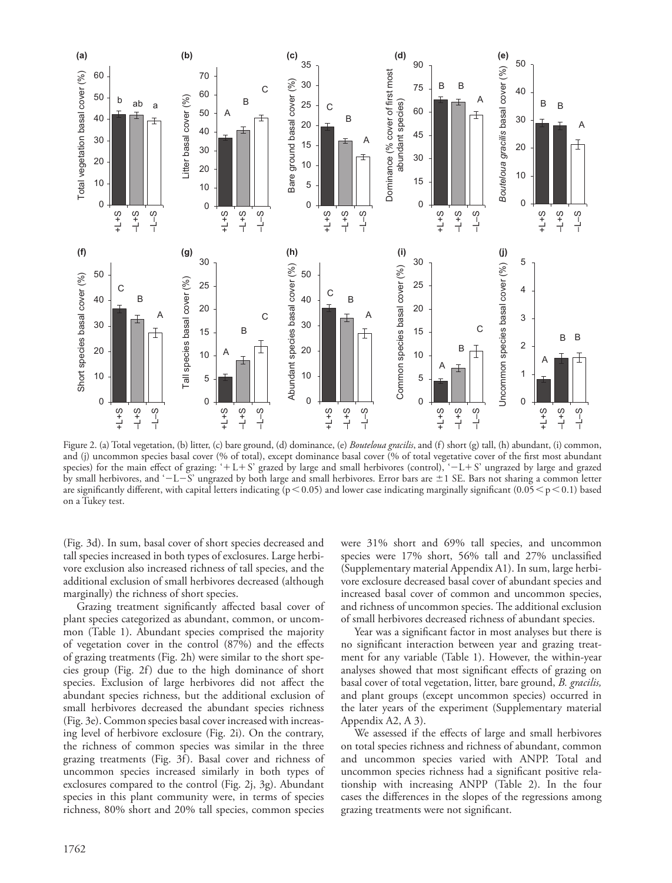

 Figure 2. (a) Total vegetation, (b) litter, (c) bare ground, (d) dominance, (e) *Bouteloua gracilis* , and (f) short (g) tall, (h) abundant, (i) common, and (j) uncommon species basal cover (% of total), except dominance basal cover (% of total vegetative cover of the first most abundant species) for the main effect of grazing: ' $+L+S$ ' grazed by large and small herbivores (control), ' $-L+S$ ' ungrazed by large and grazed by small herbivores, and ' $-L-S$ ' ungrazed by both large and small herbivores. Error bars are  $\pm 1$  SE. Bars not sharing a common letter are significantly different, with capital letters indicating ( $p < 0.05$ ) and lower case indicating marginally significant ( $0.05 \le p < 0.1$ ) based on a Tukey test.

(Fig. 3d). In sum, basal cover of short species decreased and tall species increased in both types of exclosures. Large herbivore exclusion also increased richness of tall species, and the additional exclusion of small herbivores decreased (although marginally) the richness of short species.

Grazing treatment significantly affected basal cover of plant species categorized as abundant, common, or uncommon (Table 1). Abundant species comprised the majority of vegetation cover in the control  $(87%)$  and the effects of grazing treatments (Fig. 2h) were similar to the short species group (Fig. 2f) due to the high dominance of short species. Exclusion of large herbivores did not affect the abundant species richness, but the additional exclusion of small herbivores decreased the abundant species richness (Fig. 3e). Common species basal cover increased with increasing level of herbivore exclosure (Fig. 2i). On the contrary, the richness of common species was similar in the three grazing treatments (Fig. 3f). Basal cover and richness of uncommon species increased similarly in both types of exclosures compared to the control (Fig. 2j, 3g). Abundant species in this plant community were, in terms of species richness, 80% short and 20% tall species, common species

were 31% short and 69% tall species, and uncommon species were  $17\%$  short,  $56\%$  tall and  $27\%$  unclassified (Supplementary material Appendix A1). In sum, large herbivore exclosure decreased basal cover of abundant species and increased basal cover of common and uncommon species, and richness of uncommon species. The additional exclusion of small herbivores decreased richness of abundant species.

Year was a significant factor in most analyses but there is no significant interaction between year and grazing treatment for any variable (Table 1). However, the within-year analyses showed that most significant effects of grazing on basal cover of total vegetation, litter, bare ground, *B. gracilis,* and plant groups (except uncommon species) occurred in the later years of the experiment (Supplementary material Appendix A2, A 3).

We assessed if the effects of large and small herbivores on total species richness and richness of abundant, common and uncommon species varied with ANPP. Total and uncommon species richness had a significant positive relationship with increasing ANPP (Table 2). In the four cases the differences in the slopes of the regressions among grazing treatments were not significant.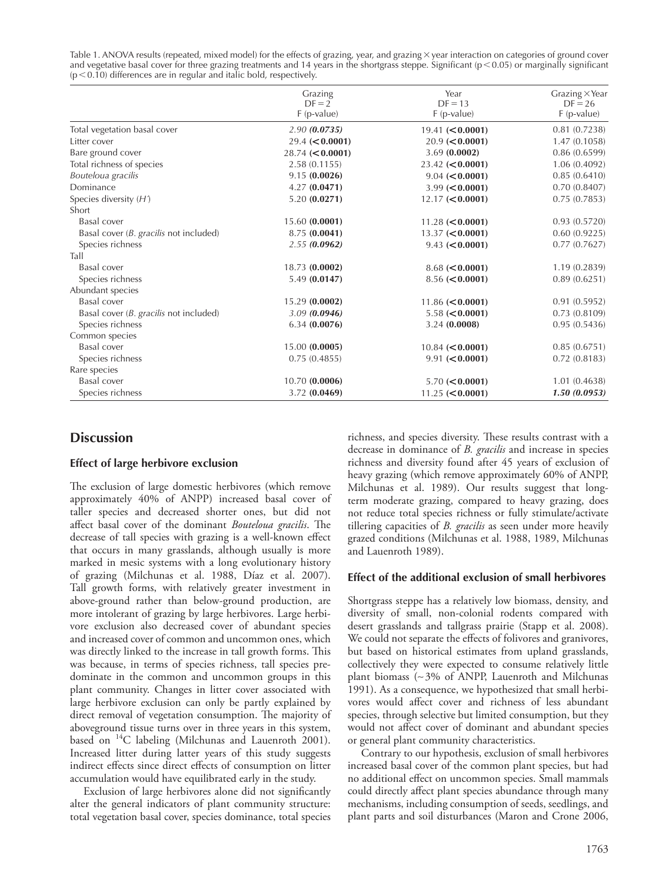| Table 1. ANOVA results (repeated, mixed model) for the effects of grazing, year, and grazing × year interaction on categories of ground cover       |
|-----------------------------------------------------------------------------------------------------------------------------------------------------|
| and vegetative basal cover for three grazing treatments and 14 years in the shortgrass steppe. Significant ( $p < 0.05$ ) or marginally significant |
| $(p<0.10)$ differences are in regular and italic bold, respectively.                                                                                |

|                                                  | Grazing             | Year                | $Grazing \times Year$ |  |
|--------------------------------------------------|---------------------|---------------------|-----------------------|--|
|                                                  | $DF = 2$            | $DF = 13$           | $DF = 26$             |  |
|                                                  | $F$ (p-value)       | $F$ (p-value)       | $F$ (p-value)         |  |
| Total vegetation basal cover                     | 2.90(0.0735)        | $19.41 \leq 0.0001$ | 0.81(0.7238)          |  |
| Litter cover                                     | $29.4 \leq 0.0001$  | $20.9$ (< 0.0001)   | 1.47(0.1058)          |  |
| Bare ground cover                                | $28.74 \leq 0.0001$ | 3.69(0.0002)        | 0.86(0.6599)          |  |
| Total richness of species                        | 2.58(0.1155)        | $23.42 \le 0.0001$  | 1.06(0.4092)          |  |
| Bouteloua gracilis                               | 9.15(0.0026)        | $9.04 \leq 0.0001$  | 0.85(0.6410)          |  |
| Dominance                                        | 4.27(0.0471)        | $3.99 \le 0.0001$   | 0.70(0.8407)          |  |
| Species diversity $(H)$                          | 5.20(0.0271)        | $12.17 \le 0.0001$  | 0.75(0.7853)          |  |
| Short                                            |                     |                     |                       |  |
| Basal cover                                      | 15.60 (0.0001)      | $11.28 \le 0.0001$  | 0.93(0.5720)          |  |
| Basal cover $(B. \text{ }gracilis$ not included) | 8.75(0.0041)        | $13.37 \le 0.0001$  | 0.60(0.9225)          |  |
| Species richness                                 | 2.55(0.0962)        | $9.43 \leq 0.0001$  | 0.77(0.7627)          |  |
| Tall                                             |                     |                     |                       |  |
| Basal cover                                      | 18.73 (0.0002)      | $8.68 \le 0.0001$   | 1.19 (0.2839)         |  |
| Species richness                                 | 5.49(0.0147)        | $8.56 \le 0.0001$   | 0.89(0.6251)          |  |
| Abundant species                                 |                     |                     |                       |  |
| Basal cover                                      | 15.29 (0.0002)      | $11.86 \le 0.0001$  | 0.91(0.5952)          |  |
| Basal cover (B. gracilis not included)           | 3.09(0.0946)        | $5.58 \le 0.0001$   | 0.73(0.8109)          |  |
| Species richness                                 | 6.34(0.0076)        | 3.24 (0.0008)       | 0.95(0.5436)          |  |
| Common species                                   |                     |                     |                       |  |
| Basal cover                                      | 15.00 (0.0005)      | $10.84 \le 0.0001$  | 0.85(0.6751)          |  |
| Species richness                                 | 0.75(0.4855)        | $9.91 \le 0.0001$   | 0.72(0.8183)          |  |
| Rare species                                     |                     |                     |                       |  |
| Basal cover                                      | 10.70 (0.0006)      | $5.70 \le 0.0001$   | 1.01(0.4638)          |  |
| Species richness                                 | 3.72 (0.0469)       | $11.25 \le 0.0001$  | 1.50(0.0953)          |  |

### **Discussion**

#### **Effect of large herbivore exclusion**

The exclusion of large domestic herbivores (which remove approximately 40% of ANPP) increased basal cover of taller species and decreased shorter ones, but did not affect basal cover of the dominant *Bouteloua gracilis*. The decrease of tall species with grazing is a well-known effect that occurs in many grasslands, although usually is more marked in mesic systems with a long evolutionary history of grazing (Milchunas et al. 1988, Díaz et al. 2007). Tall growth forms, with relatively greater investment in above-ground rather than below-ground production, are more intolerant of grazing by large herbivores. Large herbivore exclusion also decreased cover of abundant species and increased cover of common and uncommon ones, which was directly linked to the increase in tall growth forms. This was because, in terms of species richness, tall species predominate in the common and uncommon groups in this plant community. Changes in litter cover associated with large herbivore exclusion can only be partly explained by direct removal of vegetation consumption. The majority of aboveground tissue turns over in three years in this system, based on  $^{14}$ C labeling (Milchunas and Lauenroth 2001). Increased litter during latter years of this study suggests indirect effects since direct effects of consumption on litter accumulation would have equilibrated early in the study.

Exclusion of large herbivores alone did not significantly alter the general indicators of plant community structure: total vegetation basal cover, species dominance, total species richness, and species diversity. These results contrast with a decrease in dominance of *B. gracilis* and increase in species richness and diversity found after 45 years of exclusion of heavy grazing (which remove approximately 60% of ANPP, Milchunas et al. 1989). Our results suggest that longterm moderate grazing, compared to heavy grazing, does not reduce total species richness or fully stimulate/activate tillering capacities of *B. gracilis* as seen under more heavily grazed conditions (Milchunas et al. 1988, 1989, Milchunas and Lauenroth 1989).

#### **Effect of the additional exclusion of small herbivores**

 Shortgrass steppe has a relatively low biomass, density, and diversity of small, non-colonial rodents compared with desert grasslands and tallgrass prairie (Stapp et al. 2008). We could not separate the effects of folivores and granivores, but based on historical estimates from upland grasslands, collectively they were expected to consume relatively little plant biomass (~3% of ANPP, Lauenroth and Milchunas 1991). As a consequence, we hypothesized that small herbivores would affect cover and richness of less abundant species, through selective but limited consumption, but they would not affect cover of dominant and abundant species or general plant community characteristics.

 Contrary to our hypothesis, exclusion of small herbivores increased basal cover of the common plant species, but had no additional effect on uncommon species. Small mammals could directly affect plant species abundance through many mechanisms, including consumption of seeds, seedlings, and plant parts and soil disturbances (Maron and Crone 2006,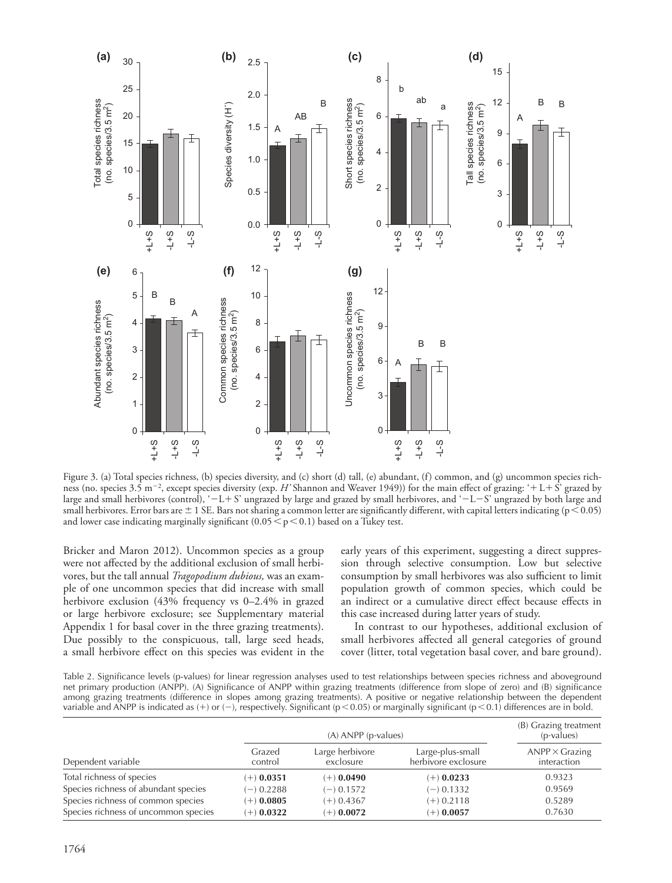

 Figure 3. (a) Total species richness, (b) species diversity, and (c) short (d) tall, (e) abundant, (f) common, and (g) uncommon species richness (no. species 3.5 m<sup>-2</sup>, except species diversity (exp. *H*' Shannon and Weaver 1949)) for the main effect of grazing: '+L+S' grazed by large and small herbivores (control), ' $-L+S$ ' ungrazed by large and grazed by small herbivores, and ' $-L-S$ ' ungrazed by both large and small herbivores. Error bars are  $\pm$  1 SE. Bars not sharing a common letter are significantly different, with capital letters indicating (p  $<$  0.05) and lower case indicating marginally significant  $(0.05 \le p \le 0.1)$  based on a Tukey test.

Bricker and Maron 2012). Uncommon species as a group were not affected by the additional exclusion of small herbivores, but the tall annual *Tragopodium dubious,* was an example of one uncommon species that did increase with small herbivore exclusion  $(43\%$  frequency vs 0-2.4% in grazed or large herbivore exclosure; see Supplementary material Appendix 1 for basal cover in the three grazing treatments). Due possibly to the conspicuous, tall, large seed heads, a small herbivore effect on this species was evident in the early years of this experiment, suggesting a direct suppression through selective consumption. Low but selective consumption by small herbivores was also sufficient to limit population growth of common species, which could be an indirect or a cumulative direct effect because effects in this case increased during latter years of study.

 In contrast to our hypotheses, additional exclusion of small herbivores affected all general categories of ground cover (litter, total vegetation basal cover, and bare ground).

Table 2. Significance levels (p-values) for linear regression analyses used to test relationships between species richness and aboveground net primary production (ANPP). (A) Significance of ANPP within grazing treatments (difference from slope of zero) and (B) significance among grazing treatments (difference in slopes among grazing treatments). A positive or negative relationship between the dependent variable and ANPP is indicated as  $(+)$  or  $(-)$ , respectively. Significant  $(p < 0.05)$  or marginally significant  $(p < 0.1)$  differences are in bold.

| Dependent variable                   | $(A)$ ANPP (p-values) |                              |                                         | (B) Grazing treatment<br>(p-values)  |
|--------------------------------------|-----------------------|------------------------------|-----------------------------------------|--------------------------------------|
|                                      | Grazed<br>control     | Large herbivore<br>exclosure | Large-plus-small<br>herbivore exclosure | $ANPP \times Grazing$<br>interaction |
| Total richness of species            | $(+)$ 0.0351          | $(+)$ 0.0490                 | $(+)$ 0.0233                            | 0.9323                               |
| Species richness of abundant species | $(-)$ 0.2288          | $(-)$ 0.1572                 | $(-)$ 0.1332                            | 0.9569                               |
| Species richness of common species   | $(+)$ 0.0805          | $(+)$ 0.4367                 | $(+)$ 0.2118                            | 0.5289                               |
| Species richness of uncommon species | $(+)$ 0.0322          | $(+)$ 0.0072                 | $(+)$ 0.0057                            | 0.7630                               |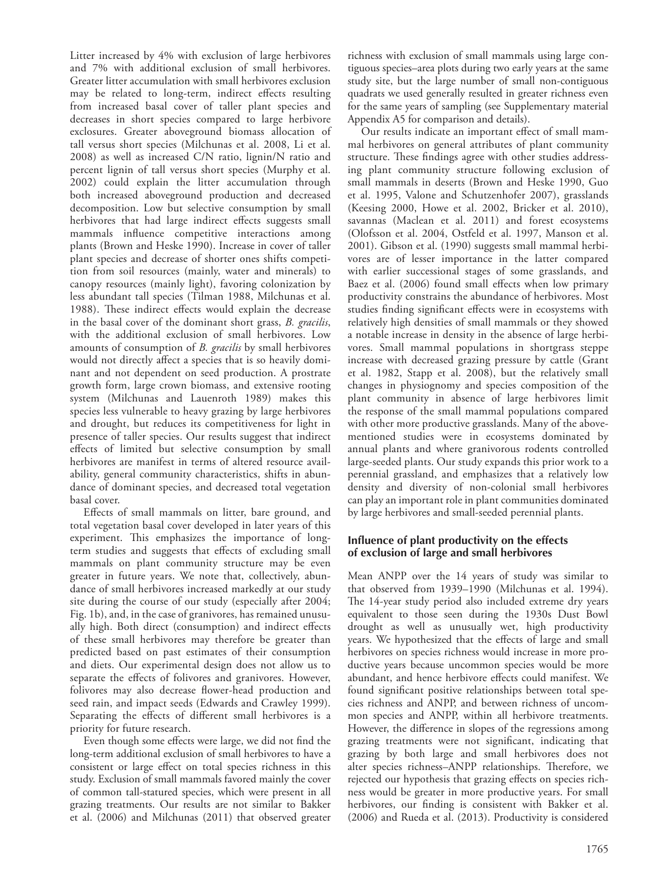Litter increased by 4% with exclusion of large herbivores and 7% with additional exclusion of small herbivores. Greater litter accumulation with small herbivores exclusion may be related to long-term, indirect effects resulting from increased basal cover of taller plant species and decreases in short species compared to large herbivore exclosures. Greater aboveground biomass allocation of tall versus short species (Milchunas et al. 2008, Li et al. 2008) as well as increased C/N ratio, lignin/N ratio and percent lignin of tall versus short species (Murphy et al. 2002) could explain the litter accumulation through both increased aboveground production and decreased decomposition. Low but selective consumption by small herbivores that had large indirect effects suggests small mammals influence competitive interactions among plants (Brown and Heske 1990). Increase in cover of taller plant species and decrease of shorter ones shifts competition from soil resources (mainly, water and minerals) to canopy resources (mainly light), favoring colonization by less abundant tall species (Tilman 1988, Milchunas et al. 1988). These indirect effects would explain the decrease in the basal cover of the dominant short grass, *B. gracilis* , with the additional exclusion of small herbivores. Low amounts of consumption of *B. gracilis* by small herbivores would not directly affect a species that is so heavily dominant and not dependent on seed production. A prostrate growth form, large crown biomass, and extensive rooting system (Milchunas and Lauenroth 1989) makes this species less vulnerable to heavy grazing by large herbivores and drought, but reduces its competitiveness for light in presence of taller species. Our results suggest that indirect effects of limited but selective consumption by small herbivores are manifest in terms of altered resource availability, general community characteristics, shifts in abundance of dominant species, and decreased total vegetation basal cover.

Effects of small mammals on litter, bare ground, and total vegetation basal cover developed in later years of this experiment. This emphasizes the importance of longterm studies and suggests that effects of excluding small mammals on plant community structure may be even greater in future years. We note that, collectively, abundance of small herbivores increased markedly at our study site during the course of our study (especially after 2004; Fig. 1b), and, in the case of granivores, has remained unusually high. Both direct (consumption) and indirect effects of these small herbivores may therefore be greater than predicted based on past estimates of their consumption and diets. Our experimental design does not allow us to separate the effects of folivores and granivores. However, folivores may also decrease flower-head production and seed rain, and impact seeds (Edwards and Crawley 1999). Separating the effects of different small herbivores is a priority for future research.

Even though some effects were large, we did not find the long-term additional exclusion of small herbivores to have a consistent or large effect on total species richness in this study. Exclusion of small mammals favored mainly the cover of common tall-statured species, which were present in all grazing treatments. Our results are not similar to Bakker et al. (2006) and Milchunas (2011) that observed greater richness with exclusion of small mammals using large contiguous species – area plots during two early years at the same study site, but the large number of small non-contiguous quadrats we used generally resulted in greater richness even for the same years of sampling (see Supplementary material Appendix A5 for comparison and details).

Our results indicate an important effect of small mammal herbivores on general attributes of plant community structure. These findings agree with other studies addressing plant community structure following exclusion of small mammals in deserts (Brown and Heske 1990, Guo et al. 1995, Valone and Schutzenhofer 2007), grasslands (Keesing 2000, Howe et al. 2002, Bricker et al. 2010), savannas (Maclean et al. 2011) and forest ecosystems (Olofsson et al. 2004, Ostfeld et al. 1997, Manson et al. 2001). Gibson et al. (1990) suggests small mammal herbivores are of lesser importance in the latter compared with earlier successional stages of some grasslands, and Baez et al. (2006) found small effects when low primary productivity constrains the abundance of herbivores. Most studies finding significant effects were in ecosystems with relatively high densities of small mammals or they showed a notable increase in density in the absence of large herbivores. Small mammal populations in shortgrass steppe increase with decreased grazing pressure by cattle (Grant et al. 1982, Stapp et al. 2008), but the relatively small changes in physiognomy and species composition of the plant community in absence of large herbivores limit the response of the small mammal populations compared with other more productive grasslands. Many of the abovementioned studies were in ecosystems dominated by annual plants and where granivorous rodents controlled large-seeded plants. Our study expands this prior work to a perennial grassland, and emphasizes that a relatively low density and diversity of non-colonial small herbivores can play an important role in plant communities dominated by large herbivores and small-seeded perennial plants.

### **Infl uence of plant productivity on the effects of exclusion of large and small herbivores**

 Mean ANPP over the 14 years of study was similar to that observed from 1939-1990 (Milchunas et al. 1994). The 14-year study period also included extreme dry years equivalent to those seen during the 1930s Dust Bowl drought as well as unusually wet, high productivity years. We hypothesized that the effects of large and small herbivores on species richness would increase in more productive years because uncommon species would be more abundant, and hence herbivore effects could manifest. We found significant positive relationships between total species richness and ANPP, and between richness of uncommon species and ANPP, within all herbivore treatments. However, the difference in slopes of the regressions among grazing treatments were not significant, indicating that grazing by both large and small herbivores does not alter species richness-ANPP relationships. Therefore, we rejected our hypothesis that grazing effects on species richness would be greater in more productive years. For small herbivores, our finding is consistent with Bakker et al. (2006) and Rueda et al. (2013). Productivity is considered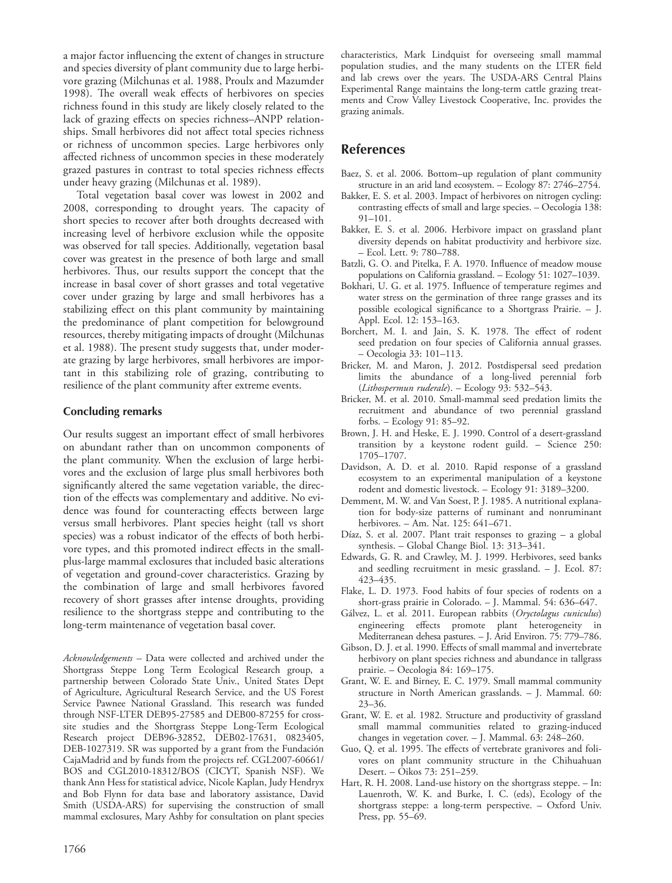a major factor influencing the extent of changes in structure and species diversity of plant community due to large herbivore grazing (Milchunas et al. 1988, Proulx and Mazumder 1998). The overall weak effects of herbivores on species richness found in this study are likely closely related to the lack of grazing effects on species richness-ANPP relationships. Small herbivores did not affect total species richness or richness of uncommon species. Large herbivores only affected richness of uncommon species in these moderately grazed pastures in contrast to total species richness effects under heavy grazing (Milchunas et al. 1989).

 Total vegetation basal cover was lowest in 2002 and 2008, corresponding to drought years. The capacity of short species to recover after both droughts decreased with increasing level of herbivore exclusion while the opposite was observed for tall species. Additionally, vegetation basal cover was greatest in the presence of both large and small herbivores. Thus, our results support the concept that the increase in basal cover of short grasses and total vegetative cover under grazing by large and small herbivores has a stabilizing effect on this plant community by maintaining the predominance of plant competition for belowground resources, thereby mitigating impacts of drought (Milchunas et al. 1988). The present study suggests that, under moderate grazing by large herbivores, small herbivores are important in this stabilizing role of grazing, contributing to resilience of the plant community after extreme events.

#### **Concluding remarks**

Our results suggest an important effect of small herbivores on abundant rather than on uncommon components of the plant community. When the exclusion of large herbivores and the exclusion of large plus small herbivores both significantly altered the same vegetation variable, the direction of the effects was complementary and additive. No evidence was found for counteracting effects between large versus small herbivores. Plant species height (tall vs short species) was a robust indicator of the effects of both herbivore types, and this promoted indirect effects in the smallplus-large mammal exclosures that included basic alterations of vegetation and ground-cover characteristics. Grazing by the combination of large and small herbivores favored recovery of short grasses after intense droughts, providing resilience to the shortgrass steppe and contributing to the long-term maintenance of vegetation basal cover.

 *Acknowledgements –* Data were collected and archived under the Shortgrass Steppe Long Term Ecological Research group, a partnership between Colorado State Univ., United States Dept of Agriculture, Agricultural Research Service, and the US Forest Service Pawnee National Grassland. This research was funded through NSF-LTER DEB95-27585 and DEB00-87255 for crosssite studies and the Shortgrass Steppe Long-Term Ecological Research project DEB96-32852, DEB02-17631, 0823405, DEB-1027319. SR was supported by a grant from the Fundación CajaMadrid and by funds from the projects ref. CGL2007-60661/ BOS and CGL2010-18312/BOS (CICYT, Spanish NSF). We thank Ann Hess for statistical advice, Nicole Kaplan, Judy Hendryx and Bob Flynn for data base and laboratory assistance, David Smith (USDA-ARS) for supervising the construction of small mammal exclosures, Mary Ashby for consultation on plant species characteristics, Mark Lindquist for overseeing small mammal population studies, and the many students on the LTER field and lab crews over the years. The USDA-ARS Central Plains Experimental Range maintains the long-term cattle grazing treatments and Crow Valley Livestock Cooperative, Inc. provides the grazing animals.

# **References**

- Baez, S. et al. 2006. Bottom-up regulation of plant community structure in an arid land ecosystem. - Ecology 87: 2746-2754.
- Bakker, E. S. et al. 2003. Impact of herbivores on nitrogen cycling: contrasting effects of small and large species. - Oecologia 138:  $91 - 101.$
- Bakker, E. S. et al. 2006. Herbivore impact on grassland plant diversity depends on habitat productivity and herbivore size. – Ecol. Lett. 9: 780 – 788.
- Batzli, G. O. and Pitelka, F. A. 1970. Influence of meadow mouse populations on California grassland. – Ecology 51: 1027–1039.
- Bokhari, U. G. et al. 1975. Influence of temperature regimes and water stress on the germination of three range grasses and its possible ecological significance to a Shortgrass Prairie.  $-$  J. Appl. Ecol. 12: 153-163.
- Borchert, M. I. and Jain, S. K. 1978. The effect of rodent seed predation on four species of California annual grasses. – Oecologia 33: 101 – 113.
- Bricker, M. and Maron, J. 2012. Postdispersal seed predation limits the abundance of a long-lived perennial forb (*Lithospermun ruderale*). – Ecology 93: 532–543.
- Bricker, M. et al. 2010. Small-mammal seed predation limits the recruitment and abundance of two perennial grassland forbs. – Ecology 91: 85–92.
- Brown, J. H. and Heske, E. J. 1990. Control of a desert-grassland transition by a keystone rodent guild. – Science 250: 1705 – 1707.
- Davidson, A. D. et al. 2010. Rapid response of a grassland ecosystem to an experimental manipulation of a keystone rodent and domestic livestock. - Ecology 91: 3189-3200.
- Demment, M. W. and Van Soest, P. J. 1985. A nutritional explanation for body-size patterns of ruminant and nonruminant herbivores. – Am. Nat. 125: 641–671.
- Díaz, S. et al. 2007. Plant trait responses to grazing  $-$  a global synthesis. - Global Change Biol. 13: 313-341.
- Edwards, G. R. and Crawley, M. J. 1999. Herbivores, seed banks and seedling recruitment in mesic grassland. – J. Ecol. 87: 423 – 435.
- Flake, L. D. 1973. Food habits of four species of rodents on a short-grass prairie in Colorado. – J. Mammal. 54: 636–647.
- Gálvez, L. et al. 2011. European rabbits (Oryctolagus cuniculus) engineering effects promote plant heterogeneity in Mediterranean dehesa pastures. - J. Arid Environ. 75: 779-786.
- Gibson, D. J. et al. 1990. Effects of small mammal and invertebrate herbivory on plant species richness and abundance in tallgrass prairie. – Oecologia 84: 169–175.
- Grant, W. E. and Birney, E. C. 1979. Small mammal community structure in North American grasslands. – J. Mammal. 60:  $23 - 36.$
- Grant, W. E. et al. 1982. Structure and productivity of grassland small mammal communities related to grazing-induced changes in vegetation cover. - J. Mammal. 63: 248-260.
- Guo, Q. et al. 1995. The effects of vertebrate granivores and folivores on plant community structure in the Chihuahuan Desert. – Oikos 73: 251–259.
- Hart, R. H. 2008. Land-use history on the shortgrass steppe. In: Lauenroth, W. K. and Burke, I. C. (eds), Ecology of the shortgrass steppe: a long-term perspective. – Oxford Univ. Press, pp. 55–69.